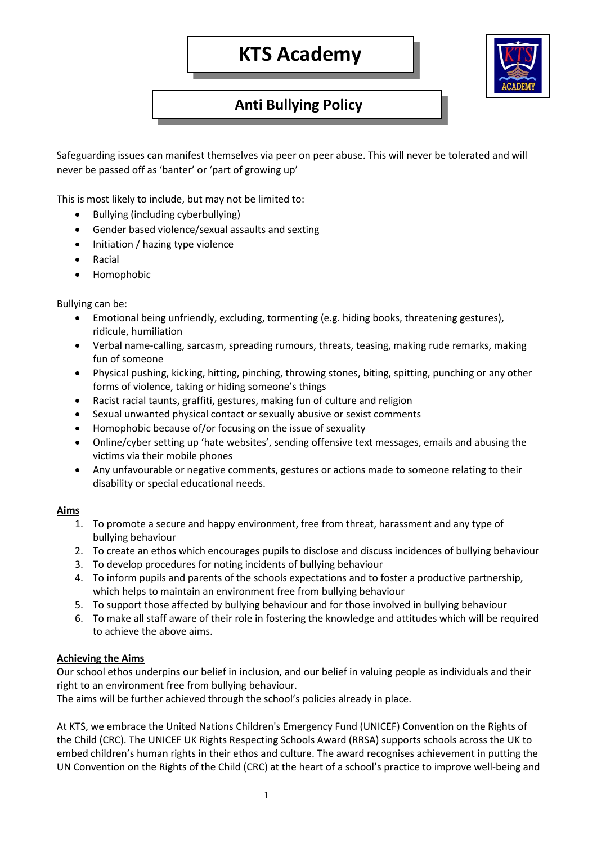

# **Anti Bullying Policy**

Safeguarding issues can manifest themselves via peer on peer abuse. This will never be tolerated and will never be passed off as 'banter' or 'part of growing up'

This is most likely to include, but may not be limited to:

- Bullying (including cyberbullying)
- Gender based violence/sexual assaults and sexting
- Initiation / hazing type violence
- Racial
- Homophobic

Bullying can be:

- Emotional being unfriendly, excluding, tormenting (e.g. hiding books, threatening gestures), ridicule, humiliation
- Verbal name-calling, sarcasm, spreading rumours, threats, teasing, making rude remarks, making fun of someone
- Physical pushing, kicking, hitting, pinching, throwing stones, biting, spitting, punching or any other forms of violence, taking or hiding someone's things
- Racist racial taunts, graffiti, gestures, making fun of culture and religion
- Sexual unwanted physical contact or sexually abusive or sexist comments
- Homophobic because of/or focusing on the issue of sexuality
- Online/cyber setting up 'hate websites', sending offensive text messages, emails and abusing the victims via their mobile phones
- Any unfavourable or negative comments, gestures or actions made to someone relating to their disability or special educational needs.

# **Aims**

- 1. To promote a secure and happy environment, free from threat, harassment and any type of bullying behaviour
- 2. To create an ethos which encourages pupils to disclose and discuss incidences of bullying behaviour
- 3. To develop procedures for noting incidents of bullying behaviour
- 4. To inform pupils and parents of the schools expectations and to foster a productive partnership, which helps to maintain an environment free from bullying behaviour
- 5. To support those affected by bullying behaviour and for those involved in bullying behaviour
- 6. To make all staff aware of their role in fostering the knowledge and attitudes which will be required to achieve the above aims.

#### **Achieving the Aims**

Our school ethos underpins our belief in inclusion, and our belief in valuing people as individuals and their right to an environment free from bullying behaviour.

The aims will be further achieved through the school's policies already in place.

At KTS, we embrace the United Nations Children's Emergency Fund (UNICEF) Convention on the Rights of the Child (CRC). The UNICEF UK Rights Respecting Schools Award (RRSA) supports schools across the UK to embed children's human rights in their ethos and culture. The award recognises achievement in putting the UN Convention on the Rights of the Child (CRC) at the heart of a school's practice to improve well-being and